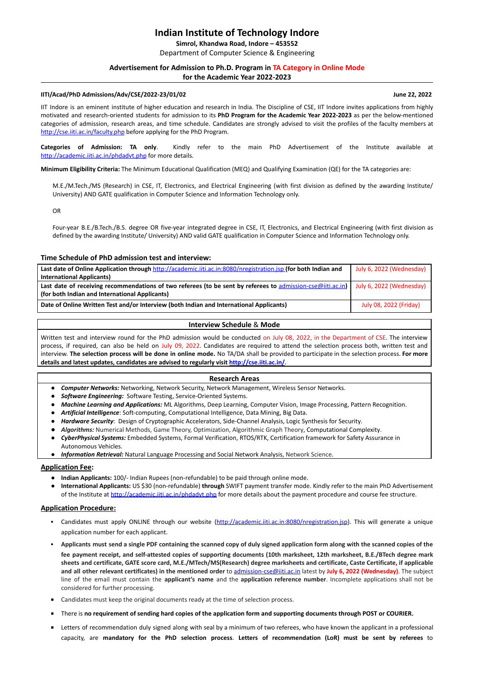# **Indian Institute of Technology Indore**

**Simrol, Khandwa Road, Indore – 453552 [**Department of Computer Science & Engineering

# **Advertisement for Admission to Ph.D. Program in TA Category in Online Mode for the Academic Year 2022-2023**

### **IITI/Acad/PhD Admissions/Adv/CSE/2022-23/01/02 June 22, 2022**

**Categories of Admission: TA only**. Kindly refer to the main PhD Advertisement of the Institute available at <http://academic.iiti.ac.in/phdadvt.php> for more details.

IIT Indore is an eminent institute of higher education and research in India. The Discipline of CSE, IIT Indore invites applications from highly motivated and research-oriented students for admission to its **PhD Program for the Academic Year 2022-2023** as per the below-mentioned categories of admission, research areas, and time schedule. Candidates are strongly advised to visit the profiles of the faculty members at <http://cse.iiti.ac.in/faculty.php> before applying for the PhD Program.

**Minimum Eligibility Criteria:** The Minimum Educational Qualification (MEQ) and Qualifying Examination (QE) for the TA categories are:

M.E./M.Tech./MS (Research) in CSE, IT, Electronics, and Electrical Engineering (with first division as defined by the awarding Institute/ University) AND GATE qualification in Computer Science and Information Technology only.

OR

Written test and interview round for the PhD admission would be conducted on July 08, 2022, in the Department of CSE. The interview process, if required, can also be held on July 09, 2022. Candidates are required to attend the selection process both, written test and interview. **The selection process will be done in online mode.** No TA/DA shall be provided to participate in the selection process. **For more details and latest updates, candidates are advised to regularly visit <http://cse.iiti.ac.in/>.**

Four-year B.E./B.Tech./B.S. degree OR five-year integrated degree in CSE, IT, Electronics, and Electrical Engineering (with first division as defined by the awarding Institute/ University) AND valid GATE qualification in Computer Science and Information Technology only.

# **Time Schedule of PhD admission test and interview:**

- **Indian Applicants:** 100/- Indian Rupees (non-refundable) to be paid through online mode.
- **International Applicants:** US \$30 (non-refundable) **through** SWIFT payment transfer mode. Kindly refer to the main PhD Advertisement of the Institute at <http://academic.iiti.ac.in/phdadvt.php> for more details about the payment procedure and course fee structure.

| Last date of Online Application through http://academic.iiti.ac.in:8080/nregistration.jsp (for both Indian and | July 6, 2022 (Wednesday) |
|----------------------------------------------------------------------------------------------------------------|--------------------------|
| <b>International Applicants)</b>                                                                               |                          |
| Last date of receiving recommendations of two referees (to be sent by referees to admission-cse@iiti.ac.in)    | July 6, 2022 (Wednesday) |
| (for both Indian and International Applicants)                                                                 |                          |
| Date of Online Written Test and/or Interview (both Indian and International Applicants)                        | July 08, 2022 (Friday)   |

#### **Interview Schedule** & **Mode**

- Candidates must apply ONLINE through our website [\(http://academic.iiti.ac.in:8080/nregistration.jsp\)](http://academic.iiti.ac.in:8080/nregistration.jsp). This will generate a unique application number for each applicant.
- Applicants must send a single PDF containing the scanned copy of duly signed application form along with the scanned copies of the fee payment receipt, and self-attested copies of supporting documents (10th marksheet, 12th marksheet, B.E./BTech degree mark sheets and certificate, GATE score card, M.E./MTech/MS(Research) degree marksheets and certificate, Caste Certificate, if applicable and all other relevant certificates) in the mentioned order to [admission-cse@iiti.ac.in](mailto:admission-cse@iiti.ac.in) latest by July 6, 2022 (Wednesday). The subject line of the email must contain the **applicant's name** and the **application reference number**. Incomplete applications shall not be considered for further processing.
- Candidates must keep the original documents ready at the time of selection process.
- There is **no requirement of sending hard copies of the application form and supporting documents through POST or COURIER.**
- **EXTER** 1.1 Letters of recommendation duly signed along with seal by a minimum of two referees, who have known the applicant in a professional capacity, are **mandatory for the PhD selection process**. **Letters of recommendation (LoR) must be sent by referees** to

#### **Research Areas**

- *Computer Networks:* Networking, Network Security, Network Management, Wireless Sensor Networks.
- *Software Engineering:* Software Testing, Service-Oriented Systems.
- *Machine Learning and Applications:* ML Algorithms, Deep Learning, Computer Vision, Image Processing, Pattern Recognition.
- *Artificial Intelligence*: Soft-computing, Computational Intelligence, Data Mining, Big Data.
- *Hardware Security*: Design of Cryptographic Accelerators, Side-Channel Analysis, Logic Synthesis for Security.
- *Algorithms:* Numerical Methods, Game Theory, Optimization, Algorithmic Graph Theory, Computational Complexity.
- *CyberPhysical Systems:* Embedded Systems, Formal Verification, RTOS/RTK, Certification framework for Safety Assurance in Autonomous Vehicles.
- *Information Retrieval:* Natural Language Processing and Social Network Analysis, Network Science.

#### **Application Fee:**

# **Application Procedure:**